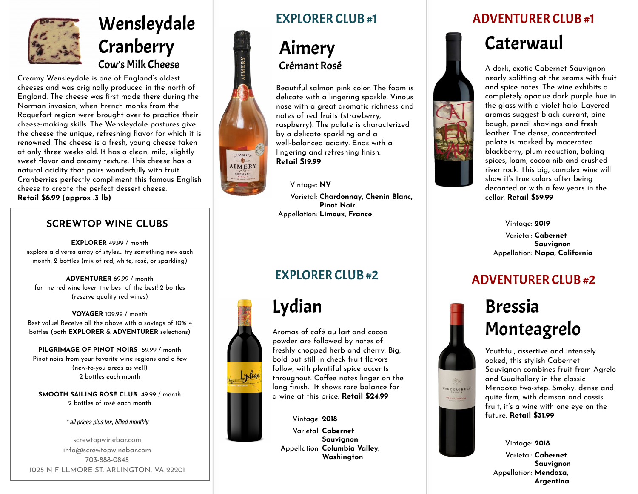

# Wensleydale **Cranberry** Cow's Milk Cheese

Creamy Wensleydale is one of England's oldest cheeses and was originally produced in the north of England. The cheese was first made there during the Norman invasion, when French monks from the Roquefort region were brought over to practice their cheese-making skills. The Wensleydale pastures give the cheese the unique, refreshing flavor for which it is renowned. The cheese is a fresh, young cheese taken at only three weeks old. It has a clean, mild, slightly sweet flavor and creamy texture. This cheese has a natural acidity that pairs wonderfully with fruit. Cranberries perfectly compliment this famous English cheese to create the perfect dessert cheese. **Retail \$6.99 (approx .3 lb)**

#### **SCREWTOP WINE CLUBS**

**EXPLORER** 49.99 / month explore a diverse array of styles… try something new each month! 2 bottles (mix of red, white, rosé, or sparkling)

**ADVENTURER** 69.99 / month for the red wine lover, the best of the best! 2 bottles (reserve quality red wines)

**VOYAGER** 109.99 / month Best value! Receive all the above with a savings of 10% 4 bottles (both **EXPLORER** & **ADVENTURER** selections)

**PILGRIMAGE OF PINOT NOIRS** 69.99 / month Pinot noirs from your favorite wine regions and a few (new-to-you areas as well) 2 bottles each month

**SMOOTH SAILING ROSÉ CLUB** 49.99 / month 2 bottles of rosé each month

#### \* all prices plus tax, billed monthly

screwtopwinebar.com info@screwtopwinebar.com 703-888-0845 1025 N FILLMORE ST. ARLINGTON, VA 22201



### Aimery Crémant Rosé

Beautiful salmon pink color. The foam is delicate with a lingering sparkle. Vinous nose with a great aromatic richness and notes of red fruits (strawberry, raspberry). The palate is characterized by a delicate sparkling and a well-balanced acidity. Ends with a lingering and refreshing finish. **Retail \$19.99**

Vintage: **NV** Varietal: **Chardonnay, Chenin Blanc, Pinot Noir** Appellation: **Limoux, France**



LIMOUX AIMERY

> Aromas of café au lait and cocoa powder are followed by notes of Lydian

freshly chopped herb and cherry. Big, bold but still in check fruit flavors follow, with plentiful spice accents throughout. Coffee notes linger on the long finish. It shows rare balance for a wine at this price. **Retail \$24.99**

Vintage: **2018** Varietal: **Cabernet Sauvignon** Appellation: **Columbia Valley, Washington**

#### EXPLORER CLUB #1 ADVENTURER CLUB #1





A dark, exotic Cabernet Sauvignon nearly splitting at the seams with fruit and spice notes. The wine exhibits a completely opaque dark purple hue in the glass with a violet halo. Layered aromas suggest black currant, pine bough, pencil shavings and fresh leather. The dense, concentrated palate is marked by macerated blackberry, plum reduction, baking spices, loam, cocoa nib and crushed river rock. This big, complex wine will show it's true colors after being decanted or with a few years in the cellar. **Retail \$59.99**

Vintage: **2019**

Varietal: **Cabernet Sauvignon** Appellation: **Napa, California**

## EXPLORER CLUB #2 ADVENTURER CLUB #2



Youthful, assertive and intensely oaked, this stylish Cabernet Sauvignon combines fruit from Agrelo and Gualtallary in the classic Mendoza two-step. Smoky, dense and quite firm, with damson and cassis fruit, it's a wine with one eye on the future. **Retail \$31.99**

Vintage: **2018** Varietal: **Cabernet Sauvignon** Appellation: **Mendoza, Argentina**

MONTEAGRELO